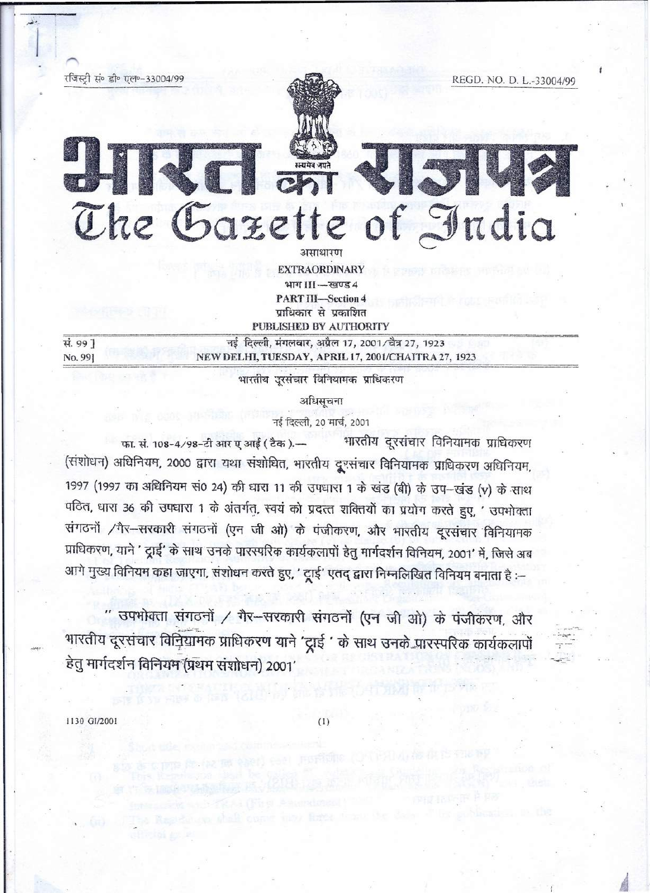रजिस्टी सं॰ डी॰ एल॰-33004/99



The Gazette of India

REGD, NO. D. L.-33004/99

**EXTRAORDINARY** भाग III-स्वण्ड 4 **PART III-Section 4** प्राधिकार से प्रकाशित PUBLISHED BY AUTHORITY

नई दिल्ली, मंगलवार, अप्रैल 17, 2001/चैत्र 27, 1923 NEW DELHI, TUESDAY, APRIL 17, 2001/CHAITRA 27, 1923

भारतीय उूरसंचार विनियामक प्राधिकरण

अधिसूचना

नई दिल्ली, 20 मार्च, 2001

भारतीय दूरसंचार विनियामक प्राधिकरण फा. सं. 108-4/98-टी आर ए आई ( टैक).-(संशोधन) अधिनियम, 2000 द्वारा यथा संशोधित, भारतीय दूरसंचार विनियामक प्राधिकरण अधिनियम, 1997 (1997 का अधिनियम सं0 24) की धारा 11 की उपधारा 1 के खंड (बी) के उप-खंड (v) के साथ पठित, धारा 36 की उपधारा 1 के अंतर्गत, स्वयं को प्रदत्त शक्तियों का प्रयोग करते हुए, ' उपभोक्ता संगठनों /गैर-सरकारी संगठनों (एन जी ओ) के पंजीकरण, और भारतीय दूरसंचार विनियामक प्राधिकरण, याने ' दूाई' के साथ उनके पारस्परिक कार्यकलापों हेतु मार्गदर्शन विनियम, 2001' में, जिसे अब आगे मुख्य विनियम कहा जाएगा, संशोधन करते हुए, ' ट्रूाई' एतद् द्वारा निम्नलिखित विनियम बनाता है :--

" उपभोक्ता संगठनों / गैर-सरकारी संगठनों (एन जी ओ) के पंजीकरण, और भारतीय दूरसंचार विनियामक प्राधिकरण याने 'ट्राई ' के साथ उनके पारस्परिक कार्यकलापों हेतु मार्गदर्शन विनियम (प्रथम संशोधन) 2001'

1130 GI/2001

सं. 99 ]

No. 99]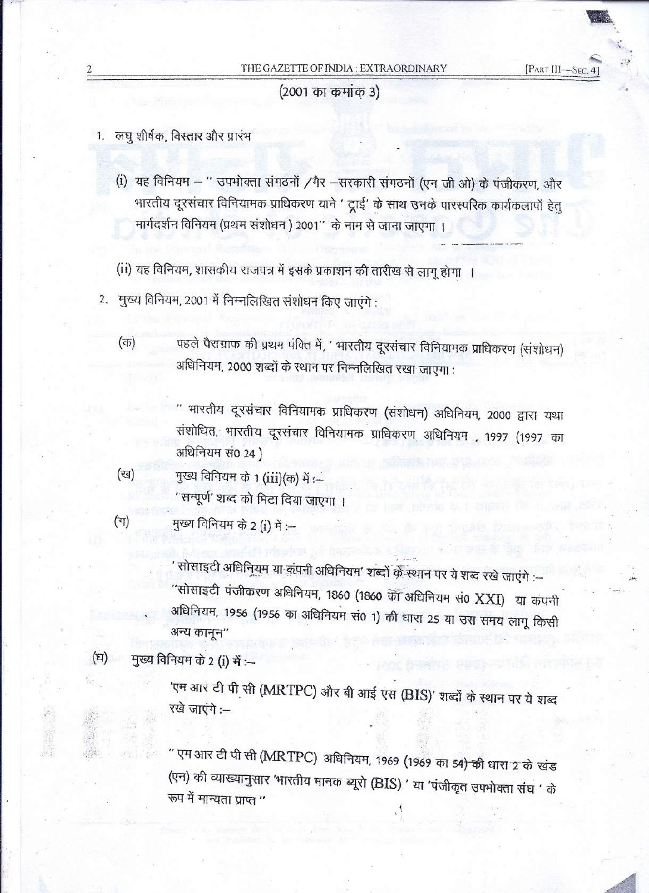[PART III-SEC.

(2001 का कमांक 3)

1. लघु शीर्षक, विस्तार और प्रारंभ

 $\mathcal{F}$  , where  $\mathcal{F}$ 

- (i) यह विनियम " उपभोक्ता संगठनों /गैर -सरकारी संगठनों (एन जी ओ) के पंजीकरण, और भारतीय दूरसंचार विनियामक प्राधिकरण याने ' ट्राई' के साथ उनके पारस्परिक कार्यकलापों हेतु मार्गदर्शन विनियम (प्रथम संशोधन ) 2001" के नाम से जाना जाएगा ।
- (ii) यह विनियम, शासकीय राजपत्र में इसके प्रकाशन की तारीख से लागू होगा ।
- 2. मुख्य विनियम, 2001 में निम्नलिखित संशोधन किए जाएंगे :
	- (क) व्यां के पहले पैराग्राफ की प्रथम पंक्ति में, ' भारतीय दूरसंचार विनियामक प्राधिकरण (संशोधन) अधिनियम, 2000 शब्दों के स्थान पर निम्नलिखित रखा जाएगा :

" भारतीय दूरसंचार विनियामक प्राधिकरण (संशोधन) अधिनियम, 2000 द्वारा यथा संशोधित, भारतीय दूरसंचार विनियामक प्राधिकरण अधिनियम , 1997 (1997 का अधिनियम सं0 24)

 $(\%)$  , मुख्य विनियम के 1 (iii)(क) में :-' सम्पूर्ण' शब्द को मिटा दिया जाएगा ।

(ग) युख्य विनियम के 2 (i) में :--

' सोसाइटी अधिनियम या कंपनी अधिनियम' शब्दों क्रें स्थान पर ये शब्द रखे जाएंगे :--"सोसाइटी पंजीकरण अधिनियम, 1860 (1860 को अधिनियम सं0 XXI) या कंपनी अधिनियम, 1956 (1956 का अधिनियम सं0 1) की धारा 25 या उस समय लागू किसी अन्य कानून"

 $(E)$  नुख्य विनियम के 2 (i) में :—

'एम आर टी पी सी (MRTPC) और बी आई एस (BIS)' शब्दों के स्थान पर ये शब्द रखे जाएंगे :-

'' एमआर टी पी सी (MRTPC) अधिनियम, 1969 (1969 का 54<del>) की</del> धारा 2 के खंड (एन) की व्याख्यानुसार 'भारतीय मानक ब्यूरो (BIS) ' या 'पंजीकृत उपभोक्ता संघ ' के रूप में मान्यता प्राप्त "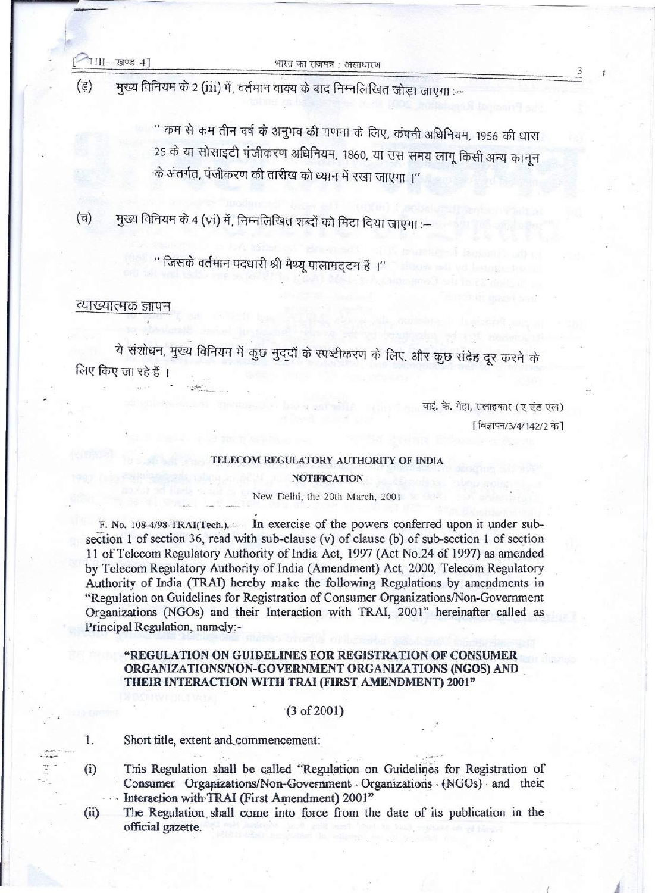मुख्य विनियम के 2 (iii) में, वर्तमान वाक्य के बाद निम्नलिखित जोड़ा जाएगा :-- $(3)$ 

> '' कम से कम तीन वर्ष के अनुभव की गणना के लिए, कंपनी अधिनियम, 1956 की धारा 25 के या सोसाइटी पंजीकरण अधिनियम, 1860, या उस समय लागू किसी अन्य कानून के अंतर्गत, पंजीकरण की तारीख को ध्यान में रखा जाएगा ।''

मुख्य विनियम के 4 (vi) में, निम्नलिखित शब्दों को मिटा दिया जाएगा :-- $(\overline{u})$ 

..

'' जिसके वर्तमान पदधारी श्री मैथ्यू पालामट्टम हैं ।''

### व्याख्यात्मक ज्ञापन

ये संशोधन, मुख्य विनियम में कुछ मुद्दों के स्पष्टीकरण के लिए, और कुछ संदेह दूर करने के लिए किए जा रहे हैं ।

> वाई. के. गेहा, सलाहकार (ए एंड एल) [ विज्ञापन/3/4/142/2 के]

3

#### TELECOM REGULATORY AUTHORITY OF INDIA

### **NOTIFICATION**

New Delhi, the 20th March, 2001

F. No. 108-4/98-TRAI(Tech.). In exercise of the powers conferred upon it under subsection 1 of section 36, read with sub-clause (v) of clause (b) of sub-section 1 of section 11 of Telecom Regulatory Authority of India Act, 1997 (Act No.24 of 1997) as amended by Telecom Regulatory Authority of India (Amendment) Act, 2000, Telecom Regulatory Authority of India (TRAI) hereby make the following Regulations by amendments in "Regulation on Guidelines for Registration of Consumer Organizations/Non-Government Organizations (NGOs) and their Interaction with TRAI, 2001" hereinafter called as Principal Regulation, namely:-

# "REGULATION ON GUIDELINES FOR REGISTRATION OF CONSUMER ORGANIZA TIONSINON-GOVERNMENT ORGANIZATIONS (NGOS) AND THEIR INTERACTION WITH TRAI (FIRST AMENDMENT) 2001"

# $(3 of 2001)$

1. Short title, extent and.commencement:

*»->-»: ~...*

- (i) This Regulation shall be called "Regulation on Guidelines for Registration of . Consumer Organizations/Non-Govemment .Organizations· (NGOs)· and their. Interaction with TRAI (First Amendment) 2001"
- (ii) The Regulation. shall come into force from the date of its publication in the official gazette. .